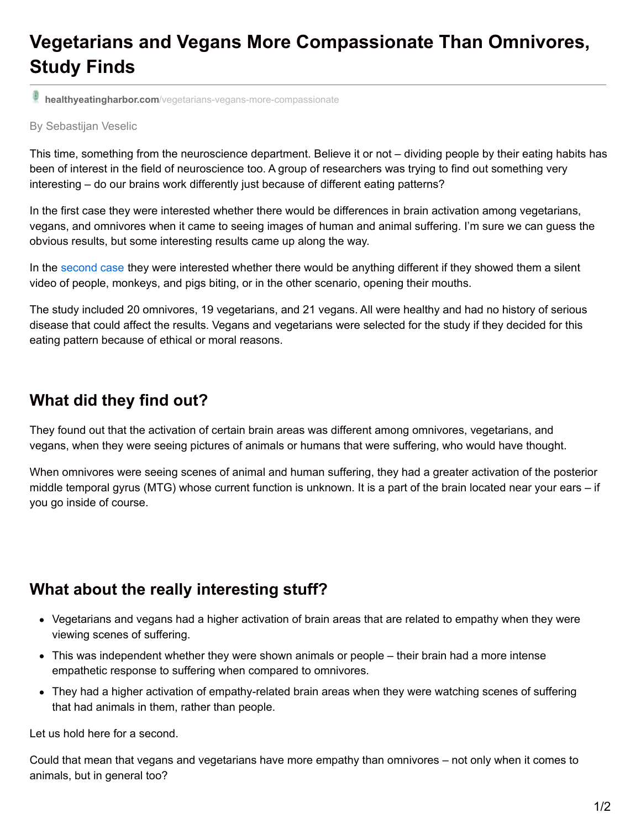# **Vegetarians and Vegans More Compassionate Than Omnivores, Study Finds**

**healthyeatingharbor.com**[/vegetarians-vegans-more-compassionate](http://healthyeatingharbor.com/vegetarians-vegans-more-compassionate)

#### By Sebastijan Veselic

This time, something from the neuroscience department. Believe it or not – dividing people by their eating habits has been of interest in the field of neuroscience too. A group of researchers was trying to find out something very interesting – do our brains work differently just because of different eating patterns?

In the first case they were interested whether there would be differences in brain activation among vegetarians, vegans, and omnivores when it came to seeing images of human and animal suffering. I'm sure we can guess the obvious results, but some interesting results came up along the way.

In the [second](http://healthyeatingharbor.com/can-vegetarians-vegans-understand-talk-animals/) case they were interested whether there would be anything different if they showed them a silent video of people, monkeys, and pigs biting, or in the other scenario, opening their mouths.

The study included 20 omnivores, 19 vegetarians, and 21 vegans. All were healthy and had no history of serious disease that could affect the results. Vegans and vegetarians were selected for the study if they decided for this eating pattern because of ethical or moral reasons.

#### **What did they find out?**

They found out that the activation of certain brain areas was different among omnivores, vegetarians, and vegans, when they were seeing pictures of animals or humans that were suffering, who would have thought.

When omnivores were seeing scenes of animal and human suffering, they had a greater activation of the posterior middle temporal gyrus (MTG) whose current function is unknown. It is a part of the brain located near your ears – if you go inside of course.

#### **What about the really interesting stuff?**

- Vegetarians and vegans had a higher activation of brain areas that are related to empathy when they were viewing scenes of suffering.
- This was independent whether they were shown animals or people their brain had a more intense empathetic response to suffering when compared to omnivores.
- They had a higher activation of empathy-related brain areas when they were watching scenes of suffering that had animals in them, rather than people.

Let us hold here for a second.

Could that mean that vegans and vegetarians have more empathy than omnivores – not only when it comes to animals, but in general too?